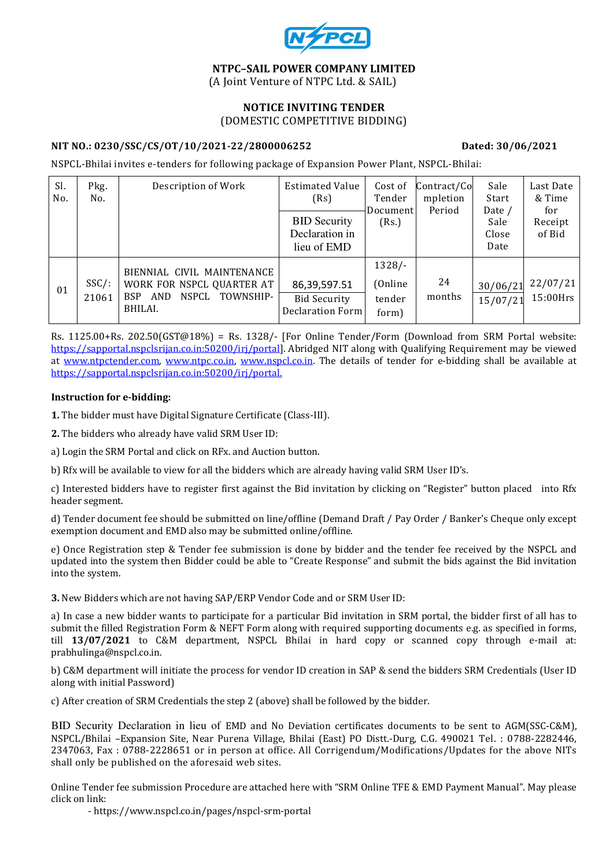

#### NTPC–SAIL POWER COMPANY LIMITED (A Joint Venture of NTPC Ltd. & SAIL)

#### NOTICE INVITING TENDER (DOMESTIC COMPETITIVE BIDDING)

#### NIT NO.: 0230/SSC/CS/OT/10/2021-22/2800006252 Dated: 30/06/2021

NSPCL-Bhilai invites e-tenders for following package of Expansion Power Plant, NSPCL-Bhilai:

| Sl.<br>No. | Pkg.<br>No. | Description of Work                                | <b>Estimated Value</b><br>(Rs)          | Cost of<br>Tender<br>Document | Contract/Co<br>mpletion<br>Period | Sale<br>Start<br>Date / | Last Date<br>& Time<br>for |
|------------|-------------|----------------------------------------------------|-----------------------------------------|-------------------------------|-----------------------------------|-------------------------|----------------------------|
|            |             |                                                    | <b>BID Security</b><br>Declaration in   | (Rs.)                         |                                   | Sale<br>Close           | Receipt<br>of Bid          |
|            |             |                                                    | lieu of EMD                             |                               |                                   | Date                    |                            |
|            |             | BIENNIAL CIVIL MAINTENANCE                         |                                         | $1328/-$                      |                                   |                         |                            |
| 01         | $SSC/$ :    | WORK FOR NSPCL QUARTER AT                          | 86,39,597.51                            | (Online)                      | 24                                | 30/06/21                | 22/07/21                   |
|            | 21061       | NSPCL<br>TOWNSHIP-<br><b>BSP</b><br>AND<br>BHILAI. | <b>Bid Security</b><br>Declaration Form | tender<br>form)               | months                            | 15/07/21                | 15:00Hrs                   |

Rs. 1125.00+Rs. 202.50(GST@18%) = Rs. 1328/- [For Online Tender/Form (Download from SRM Portal website: https://sapportal.nspclsrijan.co.in:50200/irj/portal]. Abridged NIT along with Qualifying Requirement may be viewed at www.ntpctender.com, www.ntpc.co.in, www.nspcl.co.in. The details of tender for e-bidding shall be available at https://sapportal.nspclsrijan.co.in:50200/irj/portal.

#### Instruction for e-bidding:

1. The bidder must have Digital Signature Certificate (Class-III).

2. The bidders who already have valid SRM User ID:

a) Login the SRM Portal and click on RFx. and Auction button.

b) Rfx will be available to view for all the bidders which are already having valid SRM User ID's.

c) Interested bidders have to register first against the Bid invitation by clicking on "Register" button placed into Rfx header segment.

d) Tender document fee should be submitted on line/offline (Demand Draft / Pay Order / Banker's Cheque only except exemption document and EMD also may be submitted online/offline.

e) Once Registration step & Tender fee submission is done by bidder and the tender fee received by the NSPCL and updated into the system then Bidder could be able to "Create Response" and submit the bids against the Bid invitation into the system.

3. New Bidders which are not having SAP/ERP Vendor Code and or SRM User ID:

a) In case a new bidder wants to participate for a particular Bid invitation in SRM portal, the bidder first of all has to submit the filled Registration Form & NEFT Form along with required supporting documents e.g. as specified in forms, till 13/07/2021 to C&M department, NSPCL Bhilai in hard copy or scanned copy through e-mail at: prabhulinga@nspcl.co.in.

b) C&M department will initiate the process for vendor ID creation in SAP & send the bidders SRM Credentials (User ID along with initial Password)

c) After creation of SRM Credentials the step 2 (above) shall be followed by the bidder.

BID Security Declaration in lieu of EMD and No Deviation certificates documents to be sent to AGM(SSC-C&M), NSPCL/Bhilai –Expansion Site, Near Purena Village, Bhilai (East) PO Distt.-Durg, C.G. 490021 Tel. : 0788-2282446, 2347063, Fax : 0788-2228651 or in person at office. All Corrigendum/Modifications/Updates for the above NITs shall only be published on the aforesaid web sites.

Online Tender fee submission Procedure are attached here with "SRM Online TFE & EMD Payment Manual". May please click on link:

- https://www.nspcl.co.in/pages/nspcl-srm-portal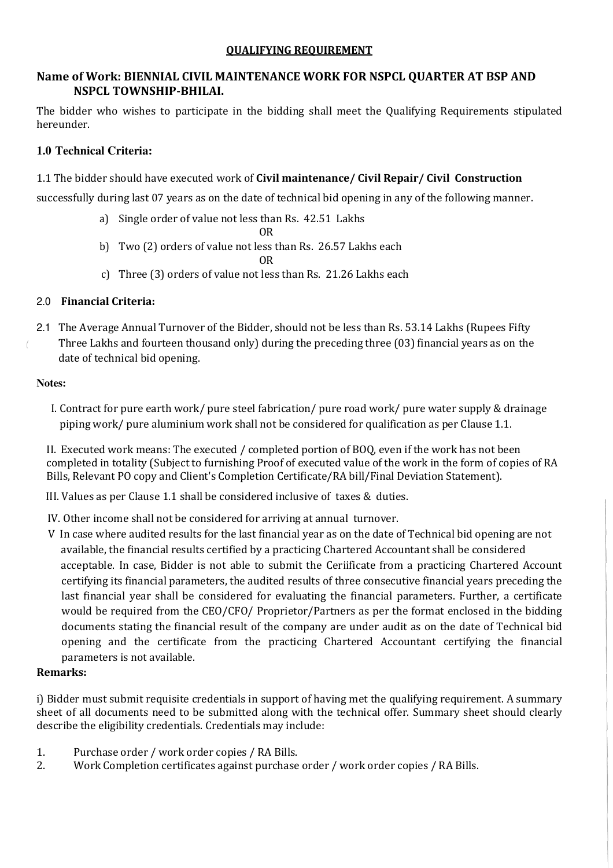## QUALIFYING REQUIREMENT

# Name of Work: BIENNIAL CIVIL MAINTENANCE WORK FOR NSPCL QUARTER AT BSP AND NSPCL TOWNSHIP-BHILAI.

The bidder who wishes to participate in the bidding shall meet the Qualifying Requirements stipulated hereunder.

# **1.0 Technical Criteria:**

# 1.1 The bidder should have executed work of Civil maintenance/ Civil Repair/ Civil Construction

successfully during last 07 years as on the date of technical bid opening in any of the following manner.

- a) Single order of value not less than Rs. 42.51 Lakhs OR
- b) Two (2) orders of value not less than Rs. 26.57 Lakhs each

OR

c) Three (3) orders of value not less than Rs. 21.26 Lakhs each

## 2.0 Financial Criteria:

2.1 The Average Annual Turnover of the Bidder, should not be less than Rs. 53.14 Lakhs (Rupees Fifty Three Lakhs and fourteen thousand only) during the preceding three (03) financial years as on the date of technical bid opening.

#### **Notes:**

 $\left($ 

I. Contract for pure earth work/ pure steel fabrication/ pure road work/ pure water supply & drainage piping work/ pure aluminium work shall not be considered for qualification as per Clause 1.1.

II. Executed work means: The executed / completed portion of BOQ, even if the work has not been completed in totality (Subject to furnishing Proof of executed value of the work in the form of copies of RA Bills, Relevant PO copy and Client's Completion Certificate/RA bill/Final Deviation Statement).

III. Values as per Clause 1.1 shall be considered inclusive of taxes & duties.

- IV. Other income shall not be considered for arriving at annual turnover.
- V In case where audited results for the last financial year as on the date of Technical bid opening are not available, the financial results certified by a practicing Chartered Accountant shall be considered acceptable. In case, Bidder is not able to submit the Ceriificate from a practicing Chartered Account certifying its financial parameters, the audited results of three consecutive financial years preceding the last financial year shall be considered for evaluating the financial parameters. Further, a certificate would be required from the CEO/CFO/ Proprietor/Partners as per the format enclosed in the bidding documents stating the financial result of the company are under audit as on the date of Technical bid opening and the certificate from the practicing Chartered Accountant certifying the financial parameters is not available.

### Remarks:

i) Bidder must submit requisite credentials in support of having met the qualifying requirement. A summary sheet of all documents need to be submitted along with the technical offer. Summary sheet should clearly describe the eligibility credentials. Credentials may include:

- 1. Purchase order / work order copies / RA Bills.
- 2. Work Completion certificates against purchase order / work order copies / RA Bills.